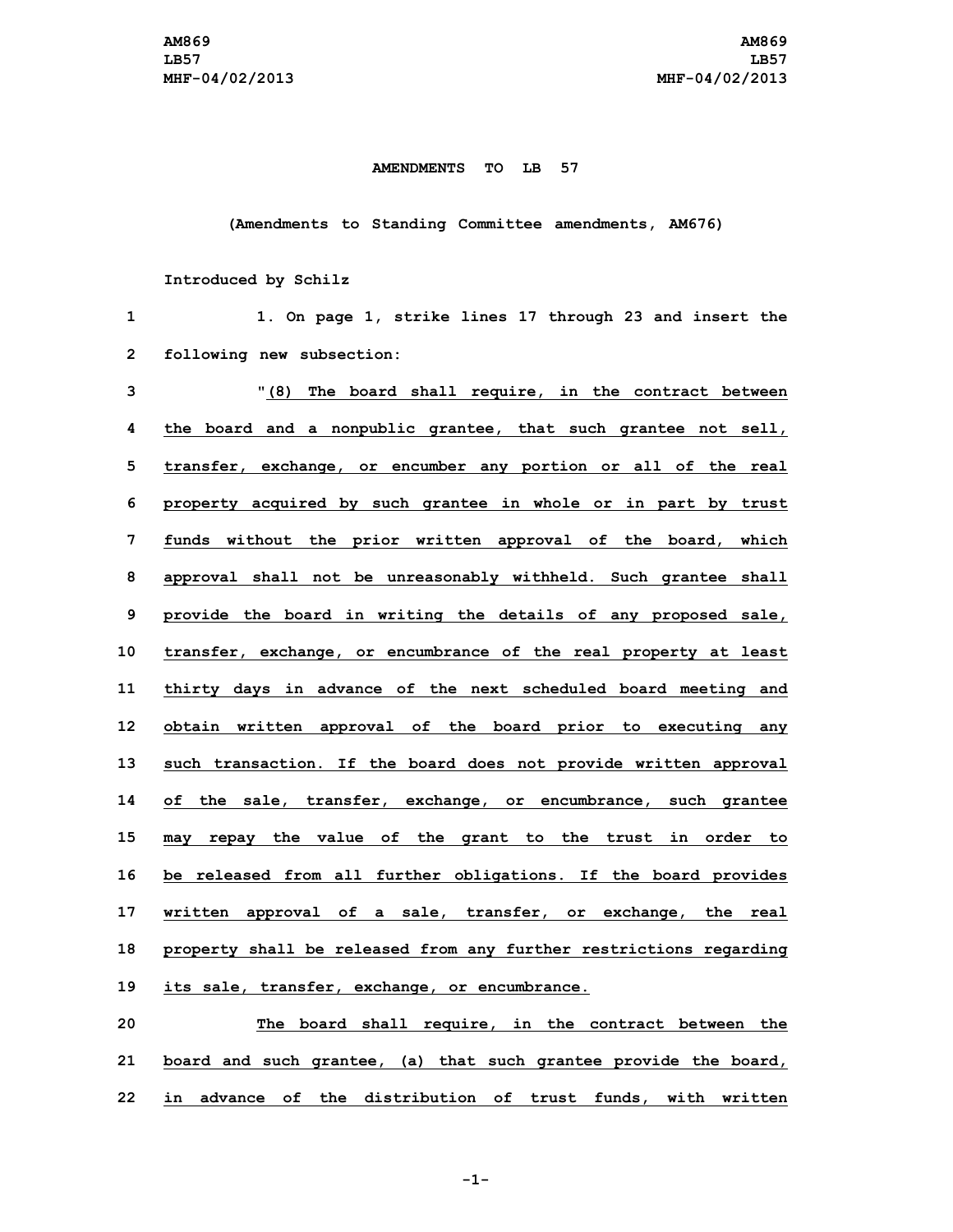## **AMENDMENTS TO LB 57**

## **(Amendments to Standing Committee amendments, AM676)**

## **Introduced by Schilz**

| 1            | 1. On page 1, strike lines 17 through 23 and insert the            |
|--------------|--------------------------------------------------------------------|
| $\mathbf{2}$ | following new subsection:                                          |
| 3            | "(8) The board shall require, in the contract between              |
| 4            | the board and a nonpublic grantee, that such grantee not sell,     |
| 5            | transfer, exchange, or encumber any portion or all of the real     |
| 6            | property acquired by such grantee in whole or in part by trust     |
| 7            | funds without the prior written approval of the board, which       |
| 8            | approval shall not be unreasonably withheld. Such grantee shall    |
| 9            | provide the board in writing the details of any proposed sale,     |
| 10           | transfer, exchange, or encumbrance of the real property at least   |
| 11           | thirty days in advance of the next scheduled board meeting and     |
| 12           | obtain written approval of the board prior to executing any        |
| 13           | such transaction. If the board does not provide written approval   |
| 14           | of the sale, transfer, exchange, or encumbrance, such grantee      |
| 15           | may repay the value of the grant to the trust in order to          |
| 16           | be released from all further obligations. If the board provides    |
| 17           | written approval of a sale, transfer, or exchange, the real        |
| 18           | property shall be released from any further restrictions regarding |
| 19           | its sale, transfer, exchange, or encumbrance.                      |
| 20           | The board shall require, in the contract between the               |
| 21           | board and such grantee, (a) that such grantee provide the board,   |

**-1-**

**22 in advance of the distribution of trust funds, with written**